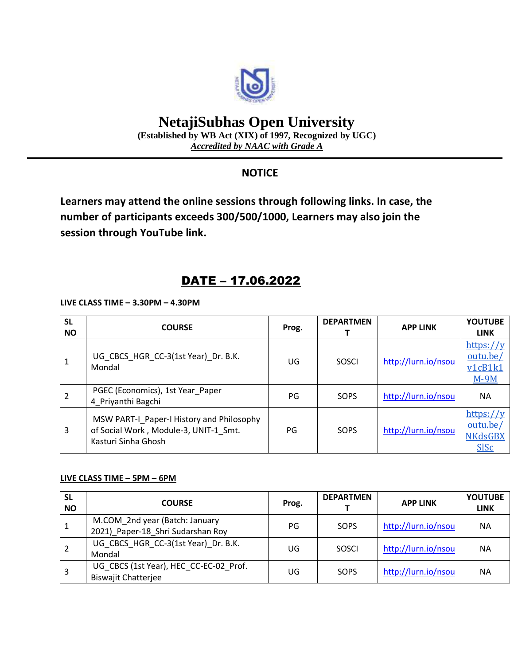

# **NetajiSubhas Open University**

**(Established by WB Act (XIX) of 1997, Recognized by UGC)** *Accredited by NAAC with Grade A*

### **NOTICE**

**Learners may attend the online sessions through following links. In case, the number of participants exceeds 300/500/1000, Learners may also join the session through YouTube link.**

## DATE – 17.06.2022

**LIVE CLASS TIME – 3.30PM – 4.30PM**

| <b>SL</b><br><b>NO</b> | <b>COURSE</b>                                                                                             | Prog. | <b>DEPARTMEN</b> | <b>APP LINK</b>     | <b>YOUTUBE</b><br><b>LINK</b>                          |
|------------------------|-----------------------------------------------------------------------------------------------------------|-------|------------------|---------------------|--------------------------------------------------------|
|                        | UG CBCS_HGR_CC-3(1st Year)_Dr. B.K.<br>Mondal                                                             | UG    | SOSCI            | http://lurn.io/nsou | https://y<br>outu.be/<br>v1cB1k1<br>$M-9M$             |
|                        | PGEC (Economics), 1st Year Paper<br>4 Priyanthi Bagchi                                                    | PG    | SOPS             | http://lurn.io/nsou | <b>NA</b>                                              |
| 3                      | MSW PART-I Paper-I History and Philosophy<br>of Social Work, Module-3, UNIT-1 Smt.<br>Kasturi Sinha Ghosh | PG    | SOPS             | http://lurn.io/nsou | https://y<br>outu.be/<br><b>NKdsGBX</b><br><b>SISc</b> |

#### **LIVE CLASS TIME – 5PM – 6PM**

| <b>SL</b><br><b>NO</b> | <b>COURSE</b>                                                        | Prog. | <b>DEPARTMEN</b> | <b>APP LINK</b>     | <b>YOUTUBE</b><br><b>LINK</b> |
|------------------------|----------------------------------------------------------------------|-------|------------------|---------------------|-------------------------------|
|                        | M.COM_2nd year (Batch: January<br>2021) Paper-18 Shri Sudarshan Roy  | PG    | SOPS             | http://lurn.io/nsou | <b>NA</b>                     |
|                        | UG_CBCS_HGR_CC-3(1st Year)_Dr. B.K.<br>Mondal                        | UG    | SOSCI            | http://lurn.io/nsou | <b>NA</b>                     |
| 3                      | UG_CBCS (1st Year), HEC_CC-EC-02_Prof.<br><b>Biswajit Chatterjee</b> | UG    | SOPS             | http://lurn.io/nsou | ΝA                            |